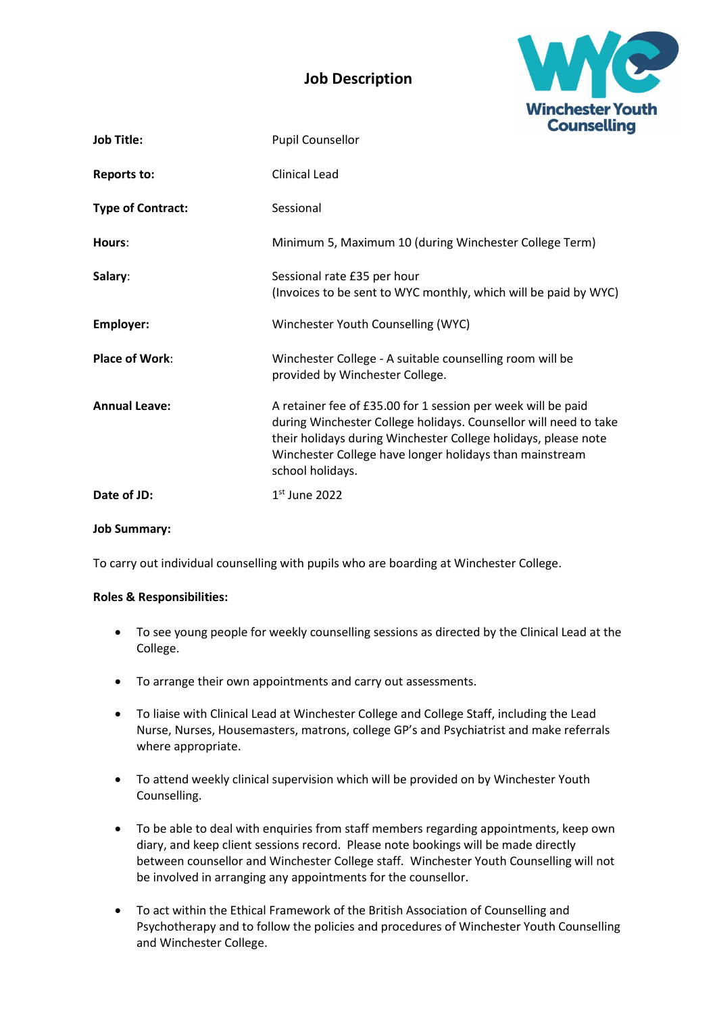## Job Description



| <b>Job Title:</b>        | Counseum<br><b>Pupil Counsellor</b>                                                                                                                                                                                                                                               |
|--------------------------|-----------------------------------------------------------------------------------------------------------------------------------------------------------------------------------------------------------------------------------------------------------------------------------|
| <b>Reports to:</b>       | <b>Clinical Lead</b>                                                                                                                                                                                                                                                              |
| <b>Type of Contract:</b> | Sessional                                                                                                                                                                                                                                                                         |
| Hours:                   | Minimum 5, Maximum 10 (during Winchester College Term)                                                                                                                                                                                                                            |
| Salary:                  | Sessional rate £35 per hour<br>(Invoices to be sent to WYC monthly, which will be paid by WYC)                                                                                                                                                                                    |
| <b>Employer:</b>         | Winchester Youth Counselling (WYC)                                                                                                                                                                                                                                                |
| <b>Place of Work:</b>    | Winchester College - A suitable counselling room will be<br>provided by Winchester College.                                                                                                                                                                                       |
| <b>Annual Leave:</b>     | A retainer fee of £35.00 for 1 session per week will be paid<br>during Winchester College holidays. Counsellor will need to take<br>their holidays during Winchester College holidays, please note<br>Winchester College have longer holidays than mainstream<br>school holidays. |
| Date of JD:              | $1st$ June 2022                                                                                                                                                                                                                                                                   |

Job Summary:

To carry out individual counselling with pupils who are boarding at Winchester College.

## Roles & Responsibilities:

- To see young people for weekly counselling sessions as directed by the Clinical Lead at the College.
- To arrange their own appointments and carry out assessments.
- To liaise with Clinical Lead at Winchester College and College Staff, including the Lead Nurse, Nurses, Housemasters, matrons, college GP's and Psychiatrist and make referrals where appropriate.
- To attend weekly clinical supervision which will be provided on by Winchester Youth Counselling.
- To be able to deal with enquiries from staff members regarding appointments, keep own diary, and keep client sessions record. Please note bookings will be made directly between counsellor and Winchester College staff. Winchester Youth Counselling will not be involved in arranging any appointments for the counsellor.
- To act within the Ethical Framework of the British Association of Counselling and Psychotherapy and to follow the policies and procedures of Winchester Youth Counselling and Winchester College.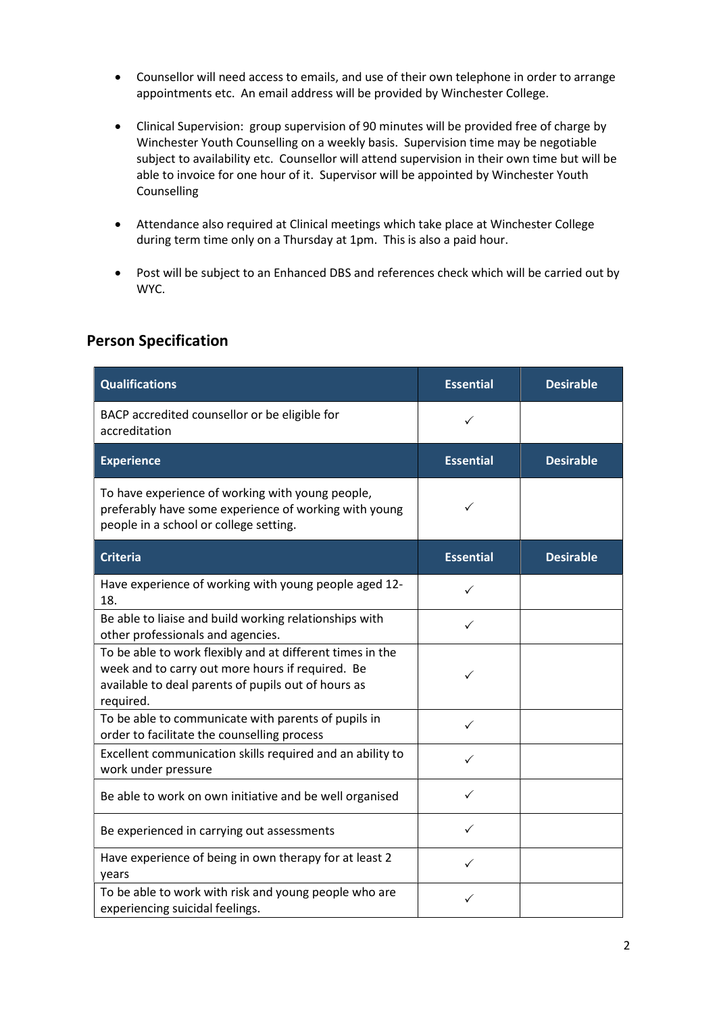- Counsellor will need access to emails, and use of their own telephone in order to arrange appointments etc. An email address will be provided by Winchester College.
- Clinical Supervision: group supervision of 90 minutes will be provided free of charge by Winchester Youth Counselling on a weekly basis. Supervision time may be negotiable subject to availability etc. Counsellor will attend supervision in their own time but will be able to invoice for one hour of it. Supervisor will be appointed by Winchester Youth Counselling
- Attendance also required at Clinical meetings which take place at Winchester College during term time only on a Thursday at 1pm. This is also a paid hour.
- Post will be subject to an Enhanced DBS and references check which will be carried out by WYC.

## Person Specification

| <b>Qualifications</b>                                                                                                                                                             | <b>Essential</b> | <b>Desirable</b> |
|-----------------------------------------------------------------------------------------------------------------------------------------------------------------------------------|------------------|------------------|
| BACP accredited counsellor or be eligible for<br>accreditation                                                                                                                    | ✓                |                  |
| <b>Experience</b>                                                                                                                                                                 | <b>Essential</b> | <b>Desirable</b> |
| To have experience of working with young people,<br>preferably have some experience of working with young<br>people in a school or college setting.                               |                  |                  |
| <b>Criteria</b>                                                                                                                                                                   | <b>Essential</b> | <b>Desirable</b> |
| Have experience of working with young people aged 12-<br>18.                                                                                                                      | ✓                |                  |
| Be able to liaise and build working relationships with<br>other professionals and agencies.                                                                                       | ✓                |                  |
| To be able to work flexibly and at different times in the<br>week and to carry out more hours if required. Be<br>available to deal parents of pupils out of hours as<br>required. | ✓                |                  |
| To be able to communicate with parents of pupils in<br>order to facilitate the counselling process                                                                                | ✓                |                  |
| Excellent communication skills required and an ability to<br>work under pressure                                                                                                  | ✓                |                  |
| Be able to work on own initiative and be well organised                                                                                                                           | ✓                |                  |
| Be experienced in carrying out assessments                                                                                                                                        | ✓                |                  |
| Have experience of being in own therapy for at least 2<br>years                                                                                                                   | ✓                |                  |
| To be able to work with risk and young people who are<br>experiencing suicidal feelings.                                                                                          | ✓                |                  |